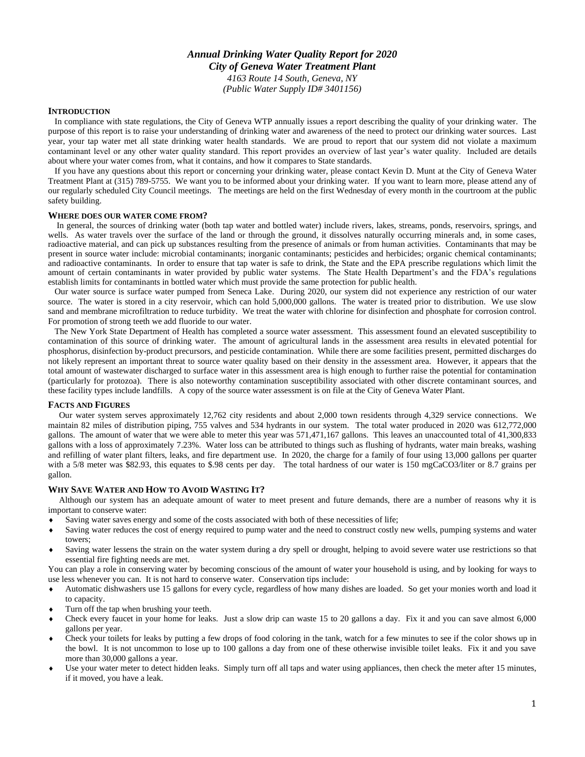# *Annual Drinking Water Quality Report for 2020 City of Geneva Water Treatment Plant 4163 Route 14 South, Geneva, NY*

*(Public Water Supply ID# 3401156)*

### **INTRODUCTION**

 In compliance with state regulations, the City of Geneva WTP annually issues a report describing the quality of your drinking water. The purpose of this report is to raise your understanding of drinking water and awareness of the need to protect our drinking water sources. Last year, your tap water met all state drinking water health standards. We are proud to report that our system did not violate a maximum contaminant level or any other water quality standard. This report provides an overview of last year's water quality. Included are details about where your water comes from, what it contains, and how it compares to State standards.

 If you have any questions about this report or concerning your drinking water, please contact Kevin D. Munt at the City of Geneva Water Treatment Plant at (315) 789-5755. We want you to be informed about your drinking water. If you want to learn more, please attend any of our regularly scheduled City Council meetings. The meetings are held on the first Wednesday of every month in the courtroom at the public safety building.

#### **WHERE DOES OUR WATER COME FROM?**

 In general, the sources of drinking water (both tap water and bottled water) include rivers, lakes, streams, ponds, reservoirs, springs, and wells. As water travels over the surface of the land or through the ground, it dissolves naturally occurring minerals and, in some cases, radioactive material, and can pick up substances resulting from the presence of animals or from human activities. Contaminants that may be present in source water include: microbial contaminants; inorganic contaminants; pesticides and herbicides; organic chemical contaminants; and radioactive contaminants. In order to ensure that tap water is safe to drink, the State and the EPA prescribe regulations which limit the amount of certain contaminants in water provided by public water systems. The State Health Department's and the FDA's regulations establish limits for contaminants in bottled water which must provide the same protection for public health.

 Our water source is surface water pumped from Seneca Lake. During 2020, our system did not experience any restriction of our water source. The water is stored in a city reservoir, which can hold 5,000,000 gallons. The water is treated prior to distribution. We use slow sand and membrane microfiltration to reduce turbidity. We treat the water with chlorine for disinfection and phosphate for corrosion control. For promotion of strong teeth we add fluoride to our water.

 The New York State Department of Health has completed a source water assessment. This assessment found an elevated susceptibility to contamination of this source of drinking water. The amount of agricultural lands in the assessment area results in elevated potential for phosphorus, disinfection by-product precursors, and pesticide contamination. While there are some facilities present, permitted discharges do not likely represent an important threat to source water quality based on their density in the assessment area. However, it appears that the total amount of wastewater discharged to surface water in this assessment area is high enough to further raise the potential for contamination (particularly for protozoa). There is also noteworthy contamination susceptibility associated with other discrete contaminant sources, and these facility types include landfills. A copy of the source water assessment is on file at the City of Geneva Water Plant.

#### **FACTS AND FIGURES**

 Our water system serves approximately 12,762 city residents and about 2,000 town residents through 4,329 service connections. We maintain 82 miles of distribution piping, 755 valves and 534 hydrants in our system. The total water produced in 2020 was 612,772,000 gallons. The amount of water that we were able to meter this year was 571,471,167 gallons. This leaves an unaccounted total of 41,300,833 gallons with a loss of approximately 7.23%. Water loss can be attributed to things such as flushing of hydrants, water main breaks, washing and refilling of water plant filters, leaks, and fire department use. In 2020, the charge for a family of four using 13,000 gallons per quarter with a 5/8 meter was \$82.93, this equates to \$.98 cents per day. The total hardness of our water is 150 mgCaCO3/liter or 8.7 grains per gallon.

#### **WHY SAVE WATER AND HOW TO AVOID WASTING IT?**

 Although our system has an adequate amount of water to meet present and future demands, there are a number of reasons why it is important to conserve water:

- Saving water saves energy and some of the costs associated with both of these necessities of life;
- Saving water reduces the cost of energy required to pump water and the need to construct costly new wells, pumping systems and water towers;
- Saving water lessens the strain on the water system during a dry spell or drought, helping to avoid severe water use restrictions so that essential fire fighting needs are met.

You can play a role in conserving water by becoming conscious of the amount of water your household is using, and by looking for ways to use less whenever you can. It is not hard to conserve water. Conservation tips include:

- Automatic dishwashers use 15 gallons for every cycle, regardless of how many dishes are loaded. So get your monies worth and load it to capacity.
- Turn off the tap when brushing your teeth.
- Check every faucet in your home for leaks. Just a slow drip can waste 15 to 20 gallons a day. Fix it and you can save almost 6,000 gallons per year.
- Check your toilets for leaks by putting a few drops of food coloring in the tank, watch for a few minutes to see if the color shows up in the bowl. It is not uncommon to lose up to 100 gallons a day from one of these otherwise invisible toilet leaks. Fix it and you save more than 30,000 gallons a year.
- Use your water meter to detect hidden leaks. Simply turn off all taps and water using appliances, then check the meter after 15 minutes, if it moved, you have a leak.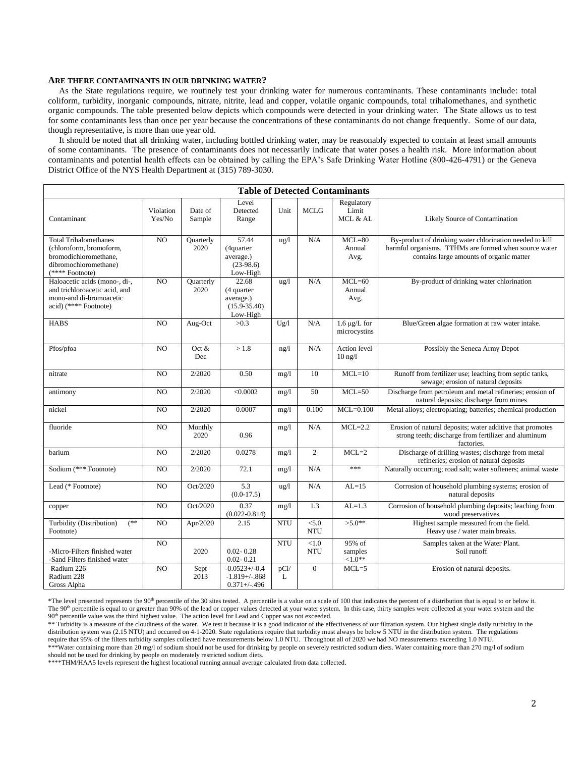#### **ARE THERE CONTAMINANTS IN OUR DRINKING WATER?**

 As the State regulations require, we routinely test your drinking water for numerous contaminants. These contaminants include: total coliform, turbidity, inorganic compounds, nitrate, nitrite, lead and copper, volatile organic compounds, total trihalomethanes, and synthetic organic compounds. The table presented below depicts which compounds were detected in your drinking water. The State allows us to test for some contaminants less than once per year because the concentrations of these contaminants do not change frequently. Some of our data, though representative, is more than one year old.

 It should be noted that all drinking water, including bottled drinking water, may be reasonably expected to contain at least small amounts of some contaminants. The presence of contaminants does not necessarily indicate that water poses a health risk. More information about contaminants and potential health effects can be obtained by calling the EPA's Safe Drinking Water Hotline (800-426-4791) or the Geneva District Office of the NYS Health Department at (315) 789-3030.

| <b>Table of Detected Contaminants</b>                                                                                        |                     |                          |                                                                  |               |                        |                                   |                                                                                                                                                               |
|------------------------------------------------------------------------------------------------------------------------------|---------------------|--------------------------|------------------------------------------------------------------|---------------|------------------------|-----------------------------------|---------------------------------------------------------------------------------------------------------------------------------------------------------------|
| Contaminant                                                                                                                  | Violation<br>Yes/No | Date of<br>Sample        | Level<br>Detected<br>Range                                       | Unit          | <b>MCLG</b>            | Regulatory<br>Limit<br>MCL & AL   | Likely Source of Contamination                                                                                                                                |
| <b>Total Trihalomethanes</b><br>(chloroform, bromoform,<br>bromodichloromethane,<br>dibromochloromethane)<br>(**** Footnote) | NO                  | Quarterly<br>2020        | 57.44<br>(4quarter)<br>average.)<br>$(23-98.6)$<br>Low-High      | $\frac{u}{g}$ | N/A                    | $MCL=80$<br>Annual<br>Avg.        | By-product of drinking water chlorination needed to kill<br>harmful organisms. TTHMs are formed when source water<br>contains large amounts of organic matter |
| Haloacetic acids (mono-, di-,<br>and trichloroacetic acid, and<br>mono-and di-bromoacetic<br>acid) (**** Footnote)           | NO                  | <b>Ouarterly</b><br>2020 | 22.68<br>(4 quarter<br>average.)<br>$(15.9 - 35.40)$<br>Low-High | ug/l          | N/A                    | $MCL=60$<br>Annual<br>Avg.        | By-product of drinking water chlorination                                                                                                                     |
| <b>HABS</b>                                                                                                                  | $\overline{NO}$     | Aug-Oct                  | >0.3                                                             | Ug/l          | N/A                    | $1.6 \mu g/L$ for<br>microcystins | Blue/Green algae formation at raw water intake.                                                                                                               |
| Pfos/pfoa                                                                                                                    | N <sub>O</sub>      | Oct $&$<br>Dec           | >1.8                                                             | ng/l          | N/A                    | Action level<br>$10$ ng/ $1$      | Possibly the Seneca Army Depot                                                                                                                                |
| nitrate                                                                                                                      | NO                  | 2/2020                   | 0.50                                                             | mg/1          | 10                     | $MCL=10$                          | Runoff from fertilizer use; leaching from septic tanks,<br>sewage; erosion of natural deposits                                                                |
| antimony                                                                                                                     | NO                  | 2/2020                   | < 0.0002                                                         | mg/1          | 50                     | $MCL=50$                          | Discharge from petroleum and metal refineries; erosion of<br>natural deposits; discharge from mines                                                           |
| nickel                                                                                                                       | NO                  | 2/2020                   | 0.0007                                                           | mg/l          | 0.100                  | $MCL=0.100$                       | Metal alloys; electroplating; batteries; chemical production                                                                                                  |
| fluoride                                                                                                                     | NO                  | Monthly<br>2020          | 0.96                                                             | mg/1          | N/A                    | $MCL=2.2$                         | Erosion of natural deposits; water additive that promotes<br>strong teeth; discharge from fertilizer and aluminum<br>factories.                               |
| barium                                                                                                                       | NO                  | 2/2020                   | 0.0278                                                           | mg/1          | $\overline{c}$         | $MCL=2$                           | Discharge of drilling wastes; discharge from metal<br>refineries; erosion of natural deposits                                                                 |
| Sodium (*** Footnote)                                                                                                        | $\overline{NO}$     | 2/2020                   | 72.1                                                             | mg/1          | N/A                    | ***                               | Naturally occurring; road salt; water softeners; animal waste                                                                                                 |
| Lead (* Footnote)                                                                                                            | NO                  | Oct/2020                 | 5.3<br>$(0.0-17.5)$                                              | ug/l          | N/A                    | $AL=15$                           | Corrosion of household plumbing systems; erosion of<br>natural deposits                                                                                       |
| copper                                                                                                                       | NO                  | Oct/2020                 | 0.37<br>$(0.022 - 0.814)$                                        | mg/1          | 1.3                    | $AL=1.3$                          | Corrosion of household plumbing deposits; leaching from<br>wood preservatives                                                                                 |
| (**<br>Turbidity (Distribution)<br>Footnote)                                                                                 | NO                  | Apr/2020                 | 2.15                                                             | <b>NTU</b>    | < 5.0<br><b>NTU</b>    | $>5.0**$                          | Highest sample measured from the field.<br>Heavy use / water main breaks.                                                                                     |
| -Micro-Filters finished water<br>-Sand Filters finished water                                                                | $\overline{NO}$     | 2020                     | $0.02 - 0.28$<br>$0.02 - 0.21$                                   | <b>NTU</b>    | ${<}1.0$<br><b>NTU</b> | 95% of<br>samples<br>${<}1.0**$   | Samples taken at the Water Plant.<br>Soil runoff                                                                                                              |
| Radium 226<br>Radium 228<br>Gross Alpha                                                                                      | NO                  | Sept<br>2013             | $-0.0523 + (-0.4)$<br>$-1.819 + / -.868$<br>$0.371 + (-0.496)$   | pCi/<br>L     | $\overline{0}$         | $MCL=5$                           | Erosion of natural deposits.                                                                                                                                  |

\*The level presented represents the 90<sup>th</sup> percentile of the 30 sites tested. A percentile is a value on a scale of 100 that indicates the percent of a distribution that is equal to or below it. The 90<sup>th</sup> percentile is equal to or greater than 90% of the lead or copper values detected at your water system. In this case, thirty samples were collected at your water system and the 90th percentile value was the third highest value. The action level for Lead and Copper was not exceeded.

\*\* Turbidity is a measure of the cloudiness of the water. We test it because it is a good indicator of the effectiveness of our filtration system. Our highest single daily turbidity in the distribution system was (2.15 NTU) and occurred on 4-1-2020. State regulations require that turbidity must always be below 5 NTU in the distribution system. The regulations require that 95% of the filters turbidity samples collected have measurements below 1.0 NTU. Throughout all of 2020 we had NO measurements exceeding 1.0 NTU. \*\*\*Water containing more than 20 mg/l of sodium should not be used for drinking by people on severely restricted sodium diets. Water containing more than 270 mg/l of sodium

should not be used for drinking by people on moderately restricted sodium diets. \*\*\*\*THM/HAA5 levels represent the highest locational running annual average calculated from data collected.